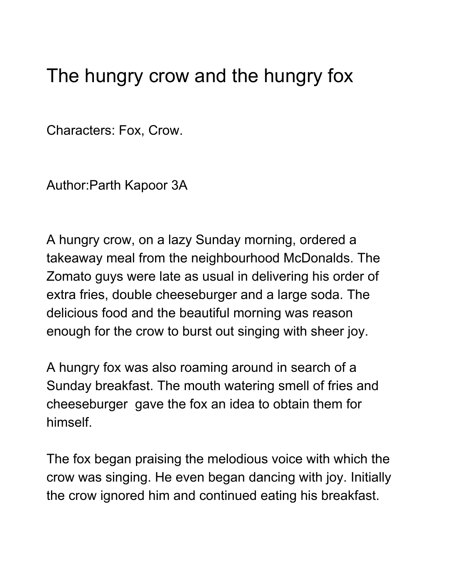## The hungry crow and the hungry fox

Characters: Fox, Crow.

Author:Parth Kapoor 3A

A hungry crow, on a lazy Sunday morning, ordered a takeaway meal from the neighbourhood McDonalds. The Zomato guys were late as usual in delivering his order of extra fries, double cheeseburger and a large soda. The delicious food and the beautiful morning was reason enough for the crow to burst out singing with sheer joy.

A hungry fox was also roaming around in search of a Sunday breakfast. The mouth watering smell of fries and cheeseburger gave the fox an idea to obtain them for himself.

The fox began praising the melodious voice with which the crow was singing. He even began dancing with joy. Initially the crow ignored him and continued eating his breakfast.